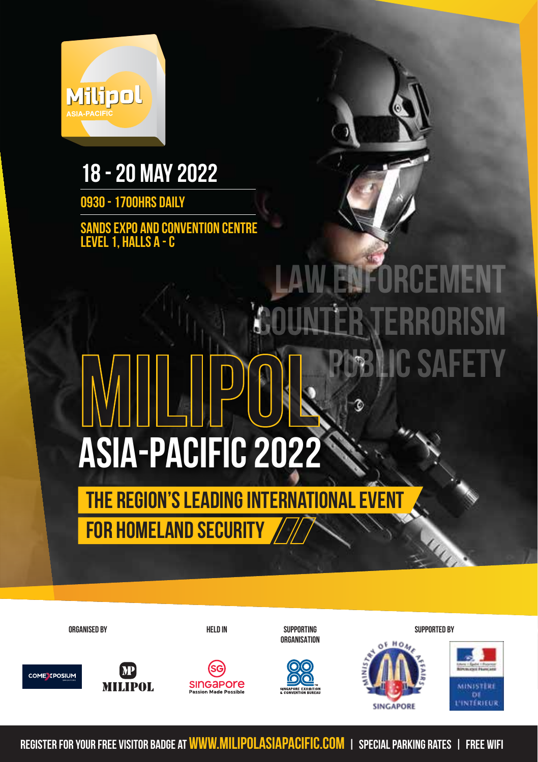

#### **18 - 20 May 2022**

**0930 - 1700hrs Daily**

**Sands Expo and Convention Centre Level 1, Halls A - C**

# **MILIPOL ASIA-PACIFIC 2022 COUNTER TERRORISM PC SAF**

**The Region's Leading International Event For Homeland Security**

**ORGANISED by Held in SUPPORTING SUPPORTED by ORGANISATION**

**MRAE** 











**Register for your free Visitor Badge at www.milipolasiapacific.com | SPEcial Parking rateS | Free Wifi**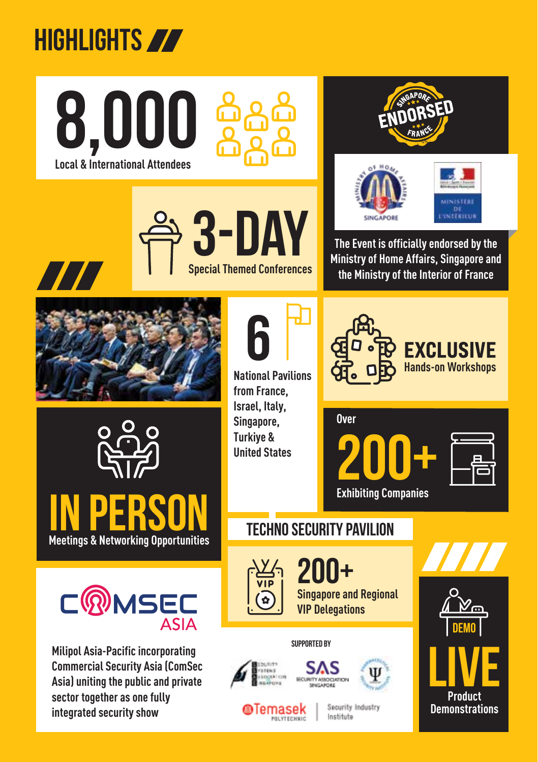### **HIGHLIGHTS**

**Local & International Attendees 8,000** 









**The Event is officially endorsed by the Ministry of Home Affairs, Singapore and the Ministry of the Interior of France**



77





**SUPPORTED by Milipol Asia-Pacific incorporating Commercial Security Asia (ComSec Asia) uniting the public and private sector together as one fully integrated security show**

**6**

**National Pavilions from France, Israel, Italy, Singapore, Turkiye & United States** 



**EXCLUSIVE Hands-on Workshops** 





**Techno Security pavilion**



**200+ Singapore and Regional VIP Delegations**





Security Industry Institute

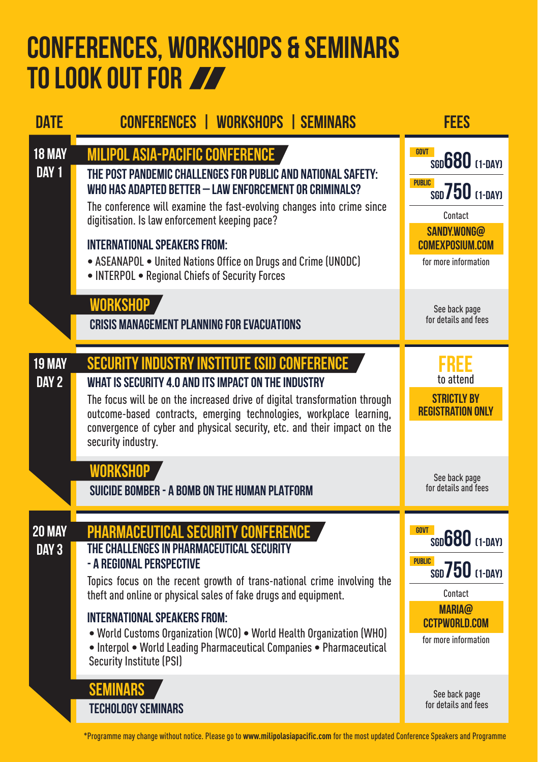#### **Conferences, WORKSHOPS & Seminars to look out for**

| <b>DATE</b>                       | <b>CONFERENCES   WORKSHOPS   SEMINARS</b>                                                                                                                                                                                                                                                                                                                                                                                                                                                                                                   | <b>FEES</b>                                                                                                                                                                               |
|-----------------------------------|---------------------------------------------------------------------------------------------------------------------------------------------------------------------------------------------------------------------------------------------------------------------------------------------------------------------------------------------------------------------------------------------------------------------------------------------------------------------------------------------------------------------------------------------|-------------------------------------------------------------------------------------------------------------------------------------------------------------------------------------------|
| 18 MAY<br>DAY 1                   | <b>MILIPOL ASIA-PACIFIC CONFERENCE</b><br>THE POST PANDEMIC CHALLENGES FOR PUBLIC AND NATIONAL SAFETY:<br>WHO HAS ADAPTED BETTER - LAW ENFORCEMENT OR CRIMINALS?<br>The conference will examine the fast-evolving changes into crime since<br>digitisation. Is law enforcement keeping pace?<br><b>INTERNATIONAL SPEAKERS FROM:</b><br>• ASEANAPOL • United Nations Office on Drugs and Crime (UNODC)<br>• INTERPOL • Regional Chiefs of Security Forces                                                                                    | <b>GOVT</b><br>$s$ <sub>GD</sub> $680$ <sub><math>(1-DAY)</math></sub><br><b>PUBLIC</b><br>$S50750$ $(1-DAY)$<br>Contact<br>SANDY.WONG@<br><b>COMEXPOSIUM.COM</b><br>for more information |
|                                   | <b>WORKSHOP</b><br><b>CRISIS MANAGEMENT PLANNING FOR EVACUATIONS</b>                                                                                                                                                                                                                                                                                                                                                                                                                                                                        | See back page<br>for details and fees                                                                                                                                                     |
| 19 MAY<br>DAY 2                   | <b>SECURITY INDUSTRY INSTITUTE (SII) CONFERENCE</b><br>WHAT IS SECURITY 4.0 AND ITS IMPACT ON THE INDUSTRY<br>The focus will be on the increased drive of digital transformation through<br>outcome-based contracts, emerging technologies, workplace learning,<br>convergence of cyber and physical security, etc. and their impact on the<br>security industry.<br><b>WORKSHOP</b>                                                                                                                                                        | 6KB F<br>to attend<br><b>STRICTLY BY</b><br><b>REGISTRATION ONLY</b><br>See back page                                                                                                     |
| <b>20 MAY</b><br>DAY <sub>3</sub> | SUICIDE BOMBER - A BOMB ON THE HUMAN PLATFORM<br><b>PHARMACEUTICAL SECURITY CONFERENCE</b><br>THE CHALLENGES IN PHARMACEUTICAL SECURITY<br>- A REGIONAL PERSPECTIVE<br>Topics focus on the recent growth of trans-national crime involving the<br>theft and online or physical sales of fake drugs and equipment.<br><b>INTERNATIONAL SPEAKERS FROM:</b><br>. World Customs Organization (WCO) . World Health Organization (WHO)<br>• Interpol • World Leading Pharmaceutical Companies • Pharmaceutical<br><b>Security Institute (PSI)</b> | for details and fees<br><b>GOVT</b><br>SGD <b>680</b> [1-DAY]<br><b>PUBLIC</b><br>$\sin 750$ $(1-DAY)$<br>Contact<br><b>MARIA@</b><br><b>CCTPWORLD.COM</b><br>for more information        |
|                                   | SEN<br><b>TECHOLOGY SEMINARS</b>                                                                                                                                                                                                                                                                                                                                                                                                                                                                                                            | See back page<br>for details and fees                                                                                                                                                     |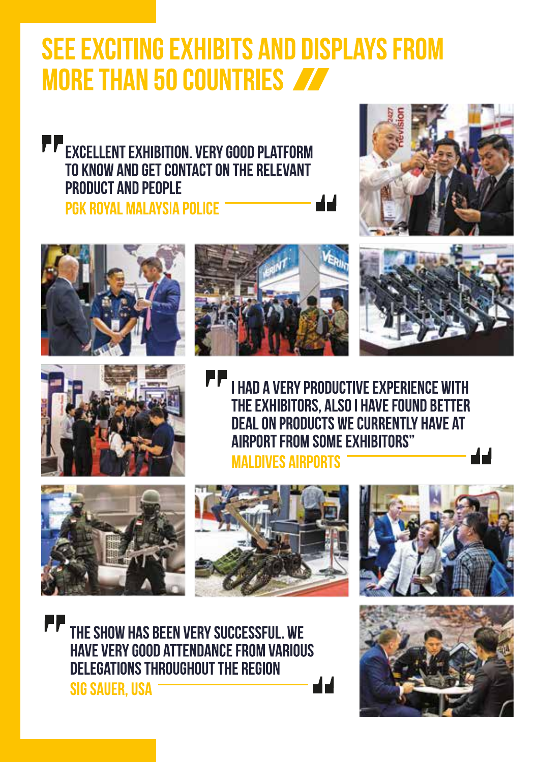#### **SEE EXCITING EXHIBITS AND DISPLAYS FROM MORE THAN 50 COUNTRIES**

**Excellent Exhibition. VERY GOOD PLATFORM** TO KNOW AND GET CONTACT ON THE RELEVANT **PRODUCT AND PEOPLE** PGK ROYAL MALAYSIA POLICE











**I HAD A VERY PRODUCTIVE EXPERIENCE WITH** THE EXHIBITORS, ALSO I HAVE FOUND BETTER **DEAL ON PRODUCTS WE CURRENTLY HAVE AT AIRPORT FROM SOME EXHIBITORS" MAI DIVES AIRPORTS** 

14







THE SHOW HAS BEEN VERY SUCCESSFUL. WE **HAVE VERY GOOD ATTENDANCE FROM VARIOUS** DELEGATIONS THROUGHOUT THE REGION **SIG SAUER, USA** 

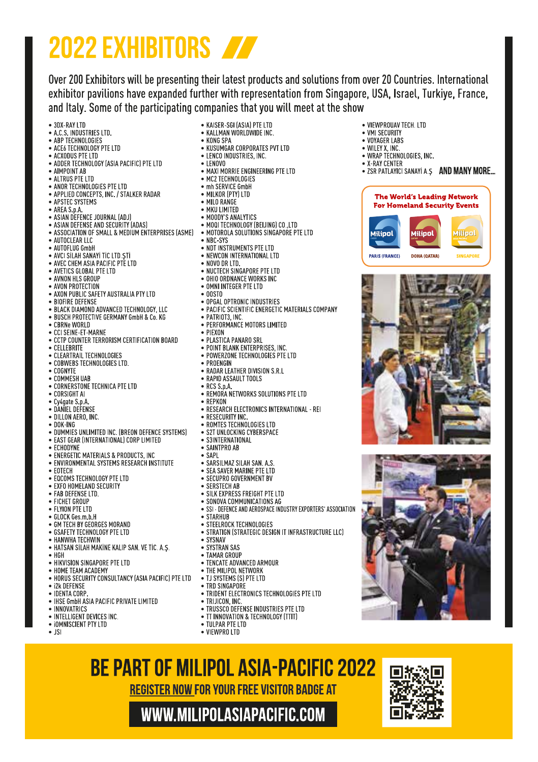## **2022 EXHIBITORS**

Over 200 Exhibitors will be presenting their latest products and solutions from over 20 Countries, International exhibitor pavilions have expanded further with representation from Singapore, USA, Israel, Turkiye, France, and Italy. Some of the participating companies that you will meet at the show

· VIFWPROUAV TFCH, LTD

• ZSR PATLAYICI SANAYI A.S AND MANY MORE...

The World's Leading Network

**For Homeland Security Events** 

lilipol

DOHA (OATAR)

Milipol

**CHICAD** 

• VMI SECURITY

· VOYAGER LARS

. WHEY Y INC . WRAP TECHNOLOGIES, INC.

. Y.RAY CENTER

Milipol

**PARIS (FRANCE)** 

- $-3DX-RAY$  ITD
- A.C.S. INDUSTRIES ITD. · ABP TECHNOLOGIES
- ACEA TECHNOLOGY PTE LTD
- $\bullet$  ACXONIS PTE LTD
- . ADDER TECHNOLOGY (ASIA PACIFIC) PTE LTD
- · AIMPOINT AB
- ALTRUS PTE LTD
- · ANOR TECHNOLOGIES PTE LTD
- · APPLIED CONCEPTS, INC. / STALKER RADAR
- APSTEC SYSTEMS
- AREA S p.A.
- ASIAN DEFENCE JOURNAL (ADJ)
- . ASIAN DEFENSE AND SECURITY (ADAS)
- ASSOCIATION OF SMALL & MEDIUM ENTERPRISES (ASME) MOTOROLA SOLUTIONS SINGAPORE PTE LTD
- · AUTOCLEAR LLC
- AUTOFLUG GmbH
- · AVCI SİLAH SANAYİ TİC LTD STİ
- . AVEC CHEM ASIA PACIFIC PTE LTD
- . AVETICS GLOBAL PTE LTD
- · AVNON HLS GROUP
- · AVON PROTECTION
- . AXON PUBLIC SAFETY AUSTRALIA PTY LTD
- · BIOFIRE DEFENSE
- · BLACK DIAMOND ADVANCED TECHNOLOGY, LLC · BUSCH PROTECTIVE GERMANY GmbH & Co. KG
- 
- CBRNe WORLD
- · CCI SEINE-ET-MARNE
- · CCTP COUNTER TERRORISM CERTIFICATION BOARD · CELLEBRITE
- · CLEARTRAIL TECHNOLOGIES
- · COBWEBS TECHNOLOGIES LTD.
- · COGNYTE
- · COMMESH UAB
- . CORNERSTONE TECHNICA PTE LTD
- · CORSIGHT AI
- Cy4gate S p A
- · DANIEL DEFENSE
- · DILLON AERO, INC.
- $\n **nnK**$
- . DUMMIES UNLIMITED INC. (BREON DEFENCE SYSTEMS)
- . EAST GEAR (INTERNATIONAL) CORP LIMITED
- $\bullet$  FCHODYNE
- · ENFRGETIC MATERIALS & PRODUCTS. INC.
- · ENVIRONMENTAL SYSTEMS RESEARCH INSTITUTE
- $\bullet$  FOTFCH
- . FOCOMS TECHNOLOGY PTE LTD
- · EXFO HOMELAND SECURITY
- · FAB DEFENSE LTD.
- · FICHET GROUP
- · FLYINN PTE LTD
- 
- · GLOCK Ges.m.b.H
- · GM TECH BY GEORGES MORAND
- · GSAFETY TECHNOLOGY PTE LTD
- HANWHA TECHWIN
- . HATSAN SİLAH MAKİNE KALIP SAN, VE TİC. A.S.
- $\bullet$  HGH
- . HIKVISION SINGAPORE PTE LTD
- HOME TEAM ACADEMY
- . HORUS SECURITY CONSULTANCY (ASIA PACIFIC) PTE LTD
- i2k DEFENSE
- · IDENTA CORP
- . IHSE GmbH ASIA PACIFIC PRIVATE LIMITED
- INNOVATRICS
- INTELLIGENT DEVICES INC.
- · IOMNISCIENT PTY LTD
- $\bullet$  JSI
- · KAISER-SGI (ASIA) PTE LTD · KALLMAN WORLDWIDE INC.
- $\bullet$  KONG SPA
- . KUSUMGAR CORPORATES PVT ITD
- . LENCO INDUSTRIES, INC.
- $\bullet$  I FNOVO
- · MAXI MORRIE ENGINEERING PTE LTD
- · MC2 TECHNOLOGIES . mh SERVICE GmhH
- 
- MILKOR (PTY) LTD . MILO RANGE
- · MKILLIMITED
- . MOODY'S ANALYTICS
- 
- . MOOI TECHNOLOGY (BEIJING) CO.,LTD
- $\bullet$  NRC-SYS
- NDT INSTRUMENTS PTE LTD
- · NEWCON INTERNATIONAL LTD
- NOVO DR LTD.
- 
- NUCTECH SINGAPORE PTE LTD . OHIO ORDNANCE WORKS INC
- . OMNI INTEGER PTE LTD
- 
- $\bullet$  00STO
- · OPGAL OPTRONIC INDUSTRIES · PACIFIC SCIENTIFIC ENERGETIC MATERIALS COMPANY
- · PATRIOT3, INC.
- · PERFORMANCE MOTORS LIMITED
- PIEXON
- · PLASTICA PANARO SRL
- · POINT BLANK ENTERPRISES, INC.
- · POWERZONE TECHNOLOGIES PTE LTD

· REMORA NETWORKS SOLUTIONS PTE LTD

· RESEARCH ELECTRONICS INTERNATIONAL - REI

· SSI - DEFENCE AND AEROSPACE INDUSTRY EXPORTERS' ASSOCIATION

· STRATIGN (STRATEGIC DESIGN IT INFRASTRUCTURE LLC)

. TRIDENT ELECTRONICS TECHNOLOGIES PTE LTD

· TRUSSCO DEFENSE INDUSTRIES PTE LTD

. TT INNOVATION & TECHNOLOGY (TTIT)

· PROENGIN

· RESECURITY INC.

 $\bullet$  S3INTERNATIONAL

 $\bullet$  SAINTPRO AB

· SERSTECH AR

 $\bullet$  STARHIJR

· SYSNAV

· SYSTRAN SAS · TAMAR GROUP

· TRIJICON, INC.

· TULPAR PTE LTD

**RE PART OF MILIPOL ASIA-PACIFIC 2022 REGISTER NOW FOR YOUR FREE VISITOR BADGE AT** WWW.MILIPOLASIAPACIFIC.COM

· VIFWPRO ITD

 $\bullet$  SAPI

. RADAR LEATHER DIVISION S.R.L.

· ROMTES TECHNOLOGIES LTD

· SARSILMAZ SILAH SAN A S

· SEA SAVER MARINE PTF LTD

· SECUPRO GOVERNMENT BV

· SILK EXPRESS FREIGHT PTE LTD

· SONOVA COMMUNICATIONS AG

· STEELROCK TECHNOLOGIES

· TENCATE ADVANCED ARMOUR

• THE MILIPOL NETWORK

• TJ SYSTEMS (S) PTE LTD · TRD SINGAPORE

· S2T UNLOCKING CYBERSPACE

· RAPID ASSAULT TOOLS  $\bullet$  RCS S p.A.  $\bullet$  REPKON